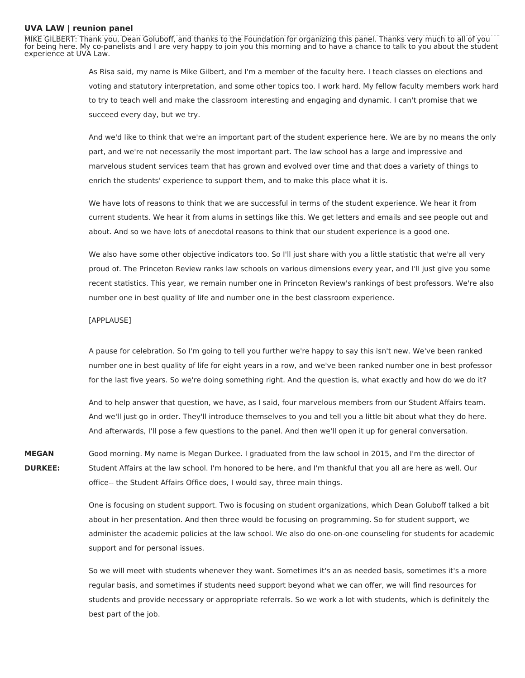## **UVA LAW | reunion panel**

MIKE GILBERT: Thank you, Dean Goluboff, and thanks to the Foundation for organizing this panel. Thanks very much to all of you for being here. My co-panelists and I are very happy to join you this morning and to have a chance to talk to you about the student experience at UVA Law.

> As Risa said, my name is Mike Gilbert, and I'm a member of the faculty here. I teach classes on elections and voting and statutory interpretation, and some other topics too. I work hard. My fellow faculty members work hard to try to teach well and make the classroom interesting and engaging and dynamic. I can't promise that we succeed every day, but we try.

> And we'd like to think that we're an important part of the student experience here. We are by no means the only part, and we're not necessarily the most important part. The law school has a large and impressive and marvelous student services team that has grown and evolved over time and that does a variety of things to enrich the students' experience to support them, and to make this place what it is.

We have lots of reasons to think that we are successful in terms of the student experience. We hear it from current students. We hear it from alums in settings like this. We get letters and emails and see people out and about. And so we have lots of anecdotal reasons to think that our student experience is a good one.

We also have some other objective indicators too. So I'll just share with you a little statistic that we're all very proud of. The Princeton Review ranks law schools on various dimensions every year, and I'll just give you some recent statistics. This year, we remain number one in Princeton Review's rankings of best professors. We're also number one in best quality of life and number one in the best classroom experience.

## [APPLAUSE]

A pause for celebration. So I'm going to tell you further we're happy to say this isn't new. We've been ranked number one in best quality of life for eight years in a row, and we've been ranked number one in best professor for the last five years. So we're doing something right. And the question is, what exactly and how do we do it?

And to help answer that question, we have, as I said, four marvelous members from our Student Affairs team. And we'll just go in order. They'll introduce themselves to you and tell you a little bit about what they do here. And afterwards, I'll pose a few questions to the panel. And then we'll open it up for general conversation.

**MEGAN DURKEE:** Good morning. My name is Megan Durkee. I graduated from the law school in 2015, and I'm the director of Student Affairs at the law school. I'm honored to be here, and I'm thankful that you all are here as well. Our office-- the Student Affairs Office does, I would say, three main things.

> One is focusing on student support. Two is focusing on student organizations, which Dean Goluboff talked a bit about in her presentation. And then three would be focusing on programming. So for student support, we administer the academic policies at the law school. We also do one-on-one counseling for students for academic support and for personal issues.

So we will meet with students whenever they want. Sometimes it's an as needed basis, sometimes it's a more regular basis, and sometimes if students need support beyond what we can offer, we will find resources for students and provide necessary or appropriate referrals. So we work a lot with students, which is definitely the best part of the job.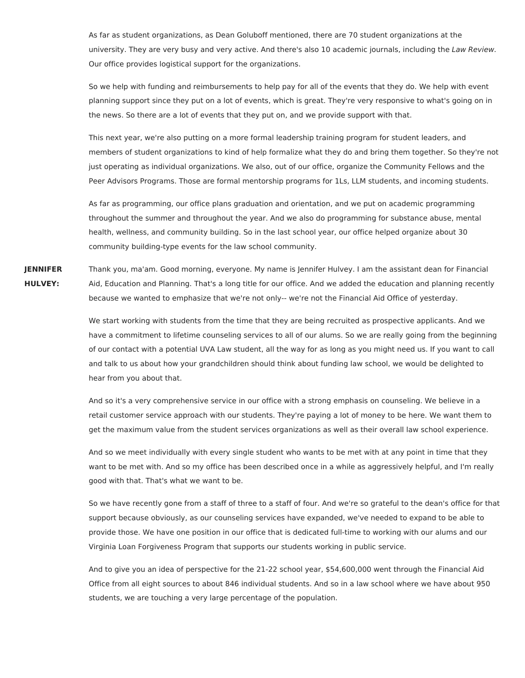As far as student organizations, as Dean Goluboff mentioned, there are 70 student organizations at the university. They are very busy and very active. And there's also 10 academic journals, including the Law Review. Our office provides logistical support for the organizations.

So we help with funding and reimbursements to help pay for all of the events that they do. We help with event planning support since they put on a lot of events, which is great. They're very responsive to what's going on in the news. So there are a lot of events that they put on, and we provide support with that.

This next year, we're also putting on a more formal leadership training program for student leaders, and members of student organizations to kind of help formalize what they do and bring them together. So they're not just operating as individual organizations. We also, out of our office, organize the Community Fellows and the Peer Advisors Programs. Those are formal mentorship programs for 1Ls, LLM students, and incoming students.

As far as programming, our office plans graduation and orientation, and we put on academic programming throughout the summer and throughout the year. And we also do programming for substance abuse, mental health, wellness, and community building. So in the last school year, our office helped organize about 30 community building-type events for the law school community.

**JENNIFER HULVEY:** Thank you, ma'am. Good morning, everyone. My name is Jennifer Hulvey. I am the assistant dean for Financial Aid, Education and Planning. That's a long title for our office. And we added the education and planning recently because we wanted to emphasize that we're not only-- we're not the Financial Aid Office of yesterday.

> We start working with students from the time that they are being recruited as prospective applicants. And we have a commitment to lifetime counseling services to all of our alums. So we are really going from the beginning of our contact with a potential UVA Law student, all the way for as long as you might need us. If you want to call and talk to us about how your grandchildren should think about funding law school, we would be delighted to hear from you about that.

And so it's a very comprehensive service in our office with a strong emphasis on counseling. We believe in a retail customer service approach with our students. They're paying a lot of money to be here. We want them to get the maximum value from the student services organizations as well as their overall law school experience.

And so we meet individually with every single student who wants to be met with at any point in time that they want to be met with. And so my office has been described once in a while as aggressively helpful, and I'm really good with that. That's what we want to be.

So we have recently gone from a staff of three to a staff of four. And we're so grateful to the dean's office for that support because obviously, as our counseling services have expanded, we've needed to expand to be able to provide those. We have one position in our office that is dedicated full-time to working with our alums and our Virginia Loan Forgiveness Program that supports our students working in public service.

And to give you an idea of perspective for the 21-22 school year, \$54,600,000 went through the Financial Aid Office from all eight sources to about 846 individual students. And so in a law school where we have about 950 students, we are touching a very large percentage of the population.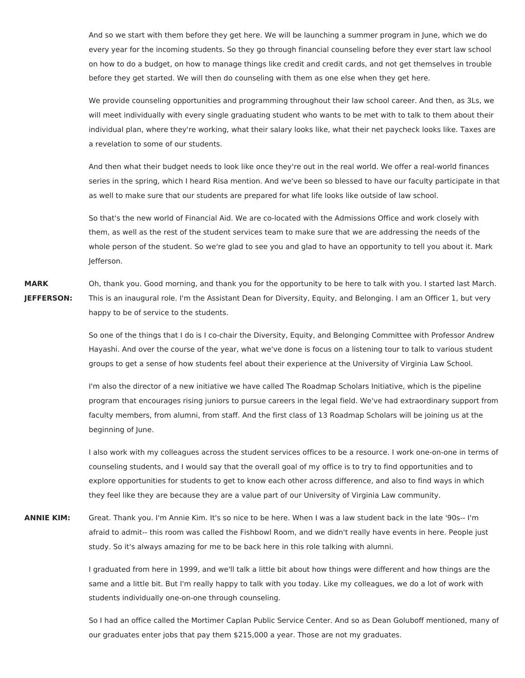And so we start with them before they get here. We will be launching a summer program in June, which we do every year for the incoming students. So they go through financial counseling before they ever start law school on how to do a budget, on how to manage things like credit and credit cards, and not get themselves in trouble before they get started. We will then do counseling with them as one else when they get here.

We provide counseling opportunities and programming throughout their law school career. And then, as 3Ls, we will meet individually with every single graduating student who wants to be met with to talk to them about their individual plan, where they're working, what their salary looks like, what their net paycheck looks like. Taxes are a revelation to some of our students.

And then what their budget needs to look like once they're out in the real world. We offer a real-world finances series in the spring, which I heard Risa mention. And we've been so blessed to have our faculty participate in that as well to make sure that our students are prepared for what life looks like outside of law school.

So that's the new world of Financial Aid. We are co-located with the Admissions Office and work closely with them, as well as the rest of the student services team to make sure that we are addressing the needs of the whole person of the student. So we're glad to see you and glad to have an opportunity to tell you about it. Mark Jefferson.

**MARK JEFFERSON:** Oh, thank you. Good morning, and thank you for the opportunity to be here to talk with you. I started last March. This is an inaugural role. I'm the Assistant Dean for Diversity, Equity, and Belonging. I am an Officer 1, but very happy to be of service to the students.

> So one of the things that I do is I co-chair the Diversity, Equity, and Belonging Committee with Professor Andrew Hayashi. And over the course of the year, what we've done is focus on a listening tour to talk to various student groups to get a sense of how students feel about their experience at the University of Virginia Law School.

> I'm also the director of a new initiative we have called The Roadmap Scholars Initiative, which is the pipeline program that encourages rising juniors to pursue careers in the legal field. We've had extraordinary support from faculty members, from alumni, from staff. And the first class of 13 Roadmap Scholars will be joining us at the beginning of June.

> I also work with my colleagues across the student services offices to be a resource. I work one-on-one in terms of counseling students, and I would say that the overall goal of my office is to try to find opportunities and to explore opportunities for students to get to know each other across difference, and also to find ways in which they feel like they are because they are a value part of our University of Virginia Law community.

**ANNIE KIM:** Great. Thank you. I'm Annie Kim. It's so nice to be here. When I was a law student back in the late '90s-- I'm afraid to admit-- this room was called the Fishbowl Room, and we didn't really have events in here. People just study. So it's always amazing for me to be back here in this role talking with alumni.

> I graduated from here in 1999, and we'll talk a little bit about how things were different and how things are the same and a little bit. But I'm really happy to talk with you today. Like my colleagues, we do a lot of work with students individually one-on-one through counseling.

So I had an office called the Mortimer Caplan Public Service Center. And so as Dean Goluboff mentioned, many of our graduates enter jobs that pay them \$215,000 a year. Those are not my graduates.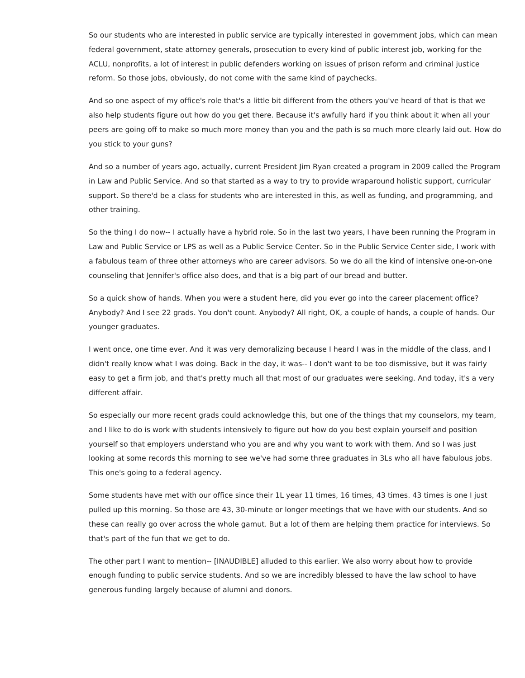So our students who are interested in public service are typically interested in government jobs, which can mean federal government, state attorney generals, prosecution to every kind of public interest job, working for the ACLU, nonprofits, a lot of interest in public defenders working on issues of prison reform and criminal justice reform. So those jobs, obviously, do not come with the same kind of paychecks.

And so one aspect of my office's role that's a little bit different from the others you've heard of that is that we also help students figure out how do you get there. Because it's awfully hard if you think about it when all your peers are going off to make so much more money than you and the path is so much more clearly laid out. How do you stick to your guns?

And so a number of years ago, actually, current President Jim Ryan created a program in 2009 called the Program in Law and Public Service. And so that started as a way to try to provide wraparound holistic support, curricular support. So there'd be a class for students who are interested in this, as well as funding, and programming, and other training.

So the thing I do now-- I actually have a hybrid role. So in the last two years, I have been running the Program in Law and Public Service or LPS as well as a Public Service Center. So in the Public Service Center side, I work with a fabulous team of three other attorneys who are career advisors. So we do all the kind of intensive one-on-one counseling that Jennifer's office also does, and that is a big part of our bread and butter.

So a quick show of hands. When you were a student here, did you ever go into the career placement office? Anybody? And I see 22 grads. You don't count. Anybody? All right, OK, a couple of hands, a couple of hands. Our younger graduates.

I went once, one time ever. And it was very demoralizing because I heard I was in the middle of the class, and I didn't really know what I was doing. Back in the day, it was-- I don't want to be too dismissive, but it was fairly easy to get a firm job, and that's pretty much all that most of our graduates were seeking. And today, it's a very different affair.

So especially our more recent grads could acknowledge this, but one of the things that my counselors, my team, and I like to do is work with students intensively to figure out how do you best explain yourself and position yourself so that employers understand who you are and why you want to work with them. And so I was just looking at some records this morning to see we've had some three graduates in 3Ls who all have fabulous jobs. This one's going to a federal agency.

Some students have met with our office since their 1L year 11 times, 16 times, 43 times. 43 times is one I just pulled up this morning. So those are 43, 30-minute or longer meetings that we have with our students. And so these can really go over across the whole gamut. But a lot of them are helping them practice for interviews. So that's part of the fun that we get to do.

The other part I want to mention-- [INAUDIBLE] alluded to this earlier. We also worry about how to provide enough funding to public service students. And so we are incredibly blessed to have the law school to have generous funding largely because of alumni and donors.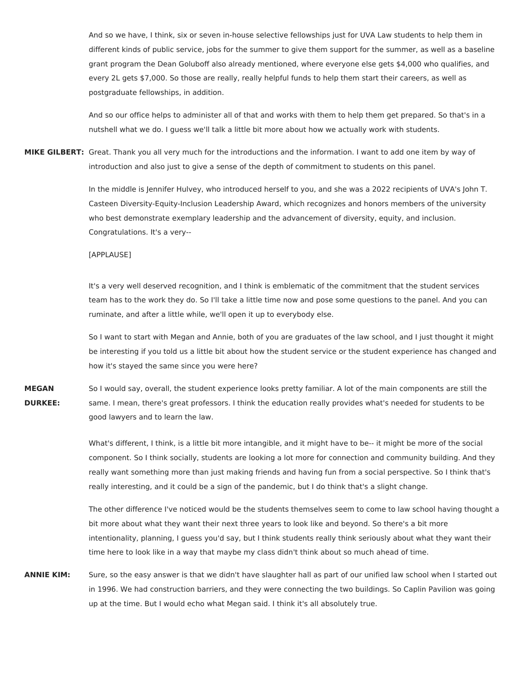And so we have, I think, six or seven in-house selective fellowships just for UVA Law students to help them in different kinds of public service, jobs for the summer to give them support for the summer, as well as a baseline grant program the Dean Goluboff also already mentioned, where everyone else gets \$4,000 who qualifies, and every 2L gets \$7,000. So those are really, really helpful funds to help them start their careers, as well as postgraduate fellowships, in addition.

And so our office helps to administer all of that and works with them to help them get prepared. So that's in a nutshell what we do. I guess we'll talk a little bit more about how we actually work with students.

**MIKE GILBERT:** Great. Thank you all very much for the introductions and the information. I want to add one item by way of introduction and also just to give a sense of the depth of commitment to students on this panel.

> In the middle is Jennifer Hulvey, who introduced herself to you, and she was a 2022 recipients of UVA's John T. Casteen Diversity-Equity-Inclusion Leadership Award, which recognizes and honors members of the university who best demonstrate exemplary leadership and the advancement of diversity, equity, and inclusion. Congratulations. It's a very--

[APPLAUSE]

It's a very well deserved recognition, and I think is emblematic of the commitment that the student services team has to the work they do. So I'll take a little time now and pose some questions to the panel. And you can ruminate, and after a little while, we'll open it up to everybody else.

So I want to start with Megan and Annie, both of you are graduates of the law school, and I just thought it might be interesting if you told us a little bit about how the student service or the student experience has changed and how it's stayed the same since you were here?

**MEGAN DURKEE:** So I would say, overall, the student experience looks pretty familiar. A lot of the main components are still the same. I mean, there's great professors. I think the education really provides what's needed for students to be good lawyers and to learn the law.

> What's different, I think, is a little bit more intangible, and it might have to be-- it might be more of the social component. So I think socially, students are looking a lot more for connection and community building. And they really want something more than just making friends and having fun from a social perspective. So I think that's really interesting, and it could be a sign of the pandemic, but I do think that's a slight change.

> The other difference I've noticed would be the students themselves seem to come to law school having thought a bit more about what they want their next three years to look like and beyond. So there's a bit more intentionality, planning, I guess you'd say, but I think students really think seriously about what they want their time here to look like in a way that maybe my class didn't think about so much ahead of time.

**ANNIE KIM:** Sure, so the easy answer is that we didn't have slaughter hall as part of our unified law school when I started out in 1996. We had construction barriers, and they were connecting the two buildings. So Caplin Pavilion was going up at the time. But I would echo what Megan said. I think it's all absolutely true.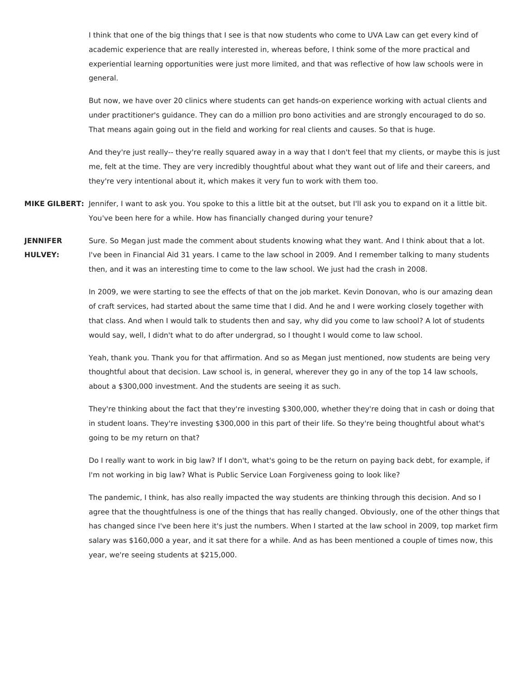I think that one of the big things that I see is that now students who come to UVA Law can get every kind of academic experience that are really interested in, whereas before, I think some of the more practical and experiential learning opportunities were just more limited, and that was reflective of how law schools were in general.

But now, we have over 20 clinics where students can get hands-on experience working with actual clients and under practitioner's guidance. They can do a million pro bono activities and are strongly encouraged to do so. That means again going out in the field and working for real clients and causes. So that is huge.

And they're just really-- they're really squared away in a way that I don't feel that my clients, or maybe this is just me, felt at the time. They are very incredibly thoughtful about what they want out of life and their careers, and they're very intentional about it, which makes it very fun to work with them too.

- **MIKE GILBERT:** Jennifer, I want to ask you. You spoke to this a little bit at the outset, but I'll ask you to expand on it a little bit. You've been here for a while. How has financially changed during your tenure?
- **JENNIFER HULVEY:** Sure. So Megan just made the comment about students knowing what they want. And I think about that a lot. I've been in Financial Aid 31 years. I came to the law school in 2009. And I remember talking to many students then, and it was an interesting time to come to the law school. We just had the crash in 2008.

In 2009, we were starting to see the effects of that on the job market. Kevin Donovan, who is our amazing dean of craft services, had started about the same time that I did. And he and I were working closely together with that class. And when I would talk to students then and say, why did you come to law school? A lot of students would say, well, I didn't what to do after undergrad, so I thought I would come to law school.

Yeah, thank you. Thank you for that affirmation. And so as Megan just mentioned, now students are being very thoughtful about that decision. Law school is, in general, wherever they go in any of the top 14 law schools, about a \$300,000 investment. And the students are seeing it as such.

They're thinking about the fact that they're investing \$300,000, whether they're doing that in cash or doing that in student loans. They're investing \$300,000 in this part of their life. So they're being thoughtful about what's going to be my return on that?

Do I really want to work in big law? If I don't, what's going to be the return on paying back debt, for example, if I'm not working in big law? What is Public Service Loan Forgiveness going to look like?

The pandemic, I think, has also really impacted the way students are thinking through this decision. And so I agree that the thoughtfulness is one of the things that has really changed. Obviously, one of the other things that has changed since I've been here it's just the numbers. When I started at the law school in 2009, top market firm salary was \$160,000 a year, and it sat there for a while. And as has been mentioned a couple of times now, this year, we're seeing students at \$215,000.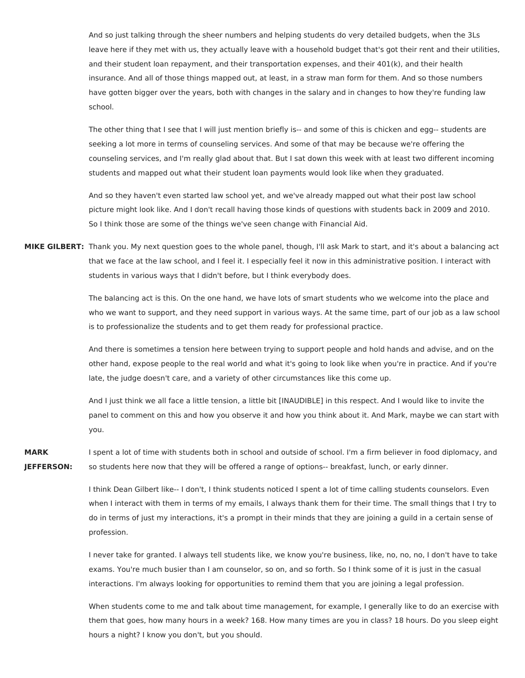And so just talking through the sheer numbers and helping students do very detailed budgets, when the 3Ls leave here if they met with us, they actually leave with a household budget that's got their rent and their utilities, and their student loan repayment, and their transportation expenses, and their 401(k), and their health insurance. And all of those things mapped out, at least, in a straw man form for them. And so those numbers have gotten bigger over the years, both with changes in the salary and in changes to how they're funding law school.

The other thing that I see that I will just mention briefly is-- and some of this is chicken and egg-- students are seeking a lot more in terms of counseling services. And some of that may be because we're offering the counseling services, and I'm really glad about that. But I sat down this week with at least two different incoming students and mapped out what their student loan payments would look like when they graduated.

And so they haven't even started law school yet, and we've already mapped out what their post law school picture might look like. And I don't recall having those kinds of questions with students back in 2009 and 2010. So I think those are some of the things we've seen change with Financial Aid.

**MIKE GILBERT:** Thank you. My next question goes to the whole panel, though, I'll ask Mark to start, and it's about a balancing act that we face at the law school, and I feel it. I especially feel it now in this administrative position. I interact with students in various ways that I didn't before, but I think everybody does.

> The balancing act is this. On the one hand, we have lots of smart students who we welcome into the place and who we want to support, and they need support in various ways. At the same time, part of our job as a law school is to professionalize the students and to get them ready for professional practice.

> And there is sometimes a tension here between trying to support people and hold hands and advise, and on the other hand, expose people to the real world and what it's going to look like when you're in practice. And if you're late, the judge doesn't care, and a variety of other circumstances like this come up.

> And I just think we all face a little tension, a little bit [INAUDIBLE] in this respect. And I would like to invite the panel to comment on this and how you observe it and how you think about it. And Mark, maybe we can start with you.

**MARK JEFFERSON:** I spent a lot of time with students both in school and outside of school. I'm a firm believer in food diplomacy, and so students here now that they will be offered a range of options-- breakfast, lunch, or early dinner.

> I think Dean Gilbert like-- I don't, I think students noticed I spent a lot of time calling students counselors. Even when I interact with them in terms of my emails, I always thank them for their time. The small things that I try to do in terms of just my interactions, it's a prompt in their minds that they are joining a guild in a certain sense of profession.

> I never take for granted. I always tell students like, we know you're business, like, no, no, no, I don't have to take exams. You're much busier than I am counselor, so on, and so forth. So I think some of it is just in the casual interactions. I'm always looking for opportunities to remind them that you are joining a legal profession.

> When students come to me and talk about time management, for example, I generally like to do an exercise with them that goes, how many hours in a week? 168. How many times are you in class? 18 hours. Do you sleep eight hours a night? I know you don't, but you should.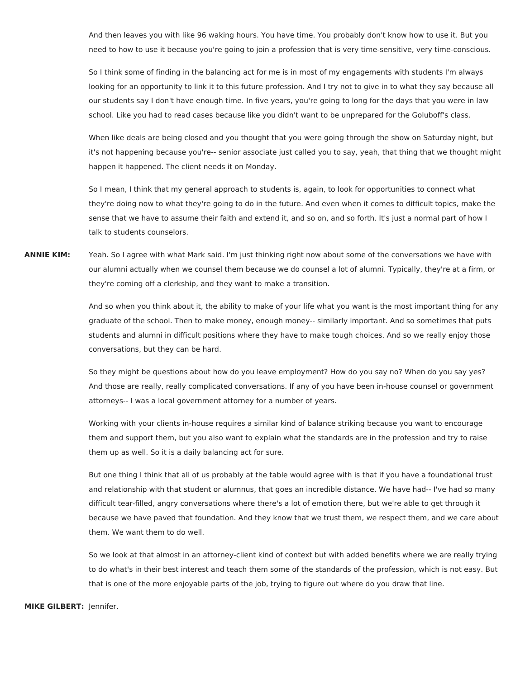And then leaves you with like 96 waking hours. You have time. You probably don't know how to use it. But you need to how to use it because you're going to join a profession that is very time-sensitive, very time-conscious.

So I think some of finding in the balancing act for me is in most of my engagements with students I'm always looking for an opportunity to link it to this future profession. And I try not to give in to what they say because all our students say I don't have enough time. In five years, you're going to long for the days that you were in law school. Like you had to read cases because like you didn't want to be unprepared for the Goluboff's class.

When like deals are being closed and you thought that you were going through the show on Saturday night, but it's not happening because you're-- senior associate just called you to say, yeah, that thing that we thought might happen it happened. The client needs it on Monday.

So I mean, I think that my general approach to students is, again, to look for opportunities to connect what they're doing now to what they're going to do in the future. And even when it comes to difficult topics, make the sense that we have to assume their faith and extend it, and so on, and so forth. It's just a normal part of how I talk to students counselors.

**ANNIE KIM:** Yeah. So I agree with what Mark said. I'm just thinking right now about some of the conversations we have with our alumni actually when we counsel them because we do counsel a lot of alumni. Typically, they're at a firm, or they're coming off a clerkship, and they want to make a transition.

> And so when you think about it, the ability to make of your life what you want is the most important thing for any graduate of the school. Then to make money, enough money-- similarly important. And so sometimes that puts students and alumni in difficult positions where they have to make tough choices. And so we really enjoy those conversations, but they can be hard.

So they might be questions about how do you leave employment? How do you say no? When do you say yes? And those are really, really complicated conversations. If any of you have been in-house counsel or government attorneys-- I was a local government attorney for a number of years.

Working with your clients in-house requires a similar kind of balance striking because you want to encourage them and support them, but you also want to explain what the standards are in the profession and try to raise them up as well. So it is a daily balancing act for sure.

But one thing I think that all of us probably at the table would agree with is that if you have a foundational trust and relationship with that student or alumnus, that goes an incredible distance. We have had-- I've had so many difficult tear-filled, angry conversations where there's a lot of emotion there, but we're able to get through it because we have paved that foundation. And they know that we trust them, we respect them, and we care about them. We want them to do well.

So we look at that almost in an attorney-client kind of context but with added benefits where we are really trying to do what's in their best interest and teach them some of the standards of the profession, which is not easy. But that is one of the more enjoyable parts of the job, trying to figure out where do you draw that line.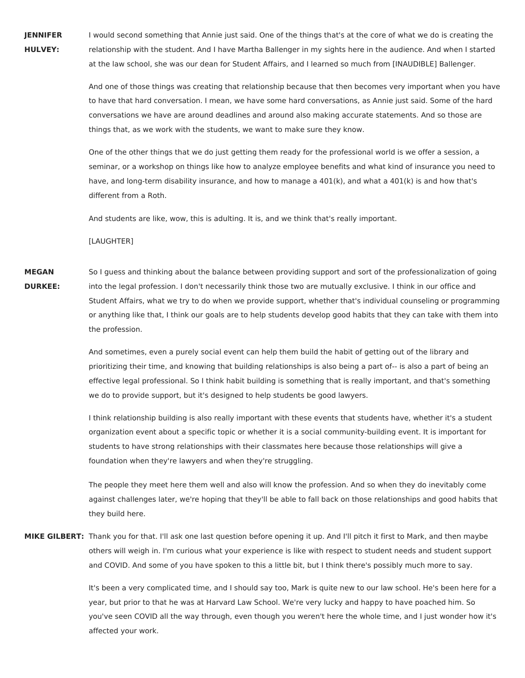**JENNIFER HULVEY:** I would second something that Annie just said. One of the things that's at the core of what we do is creating the relationship with the student. And I have Martha Ballenger in my sights here in the audience. And when I started at the law school, she was our dean for Student Affairs, and I learned so much from [INAUDIBLE] Ballenger.

> And one of those things was creating that relationship because that then becomes very important when you have to have that hard conversation. I mean, we have some hard conversations, as Annie just said. Some of the hard conversations we have are around deadlines and around also making accurate statements. And so those are things that, as we work with the students, we want to make sure they know.

One of the other things that we do just getting them ready for the professional world is we offer a session, a seminar, or a workshop on things like how to analyze employee benefits and what kind of insurance you need to have, and long-term disability insurance, and how to manage a 401(k), and what a 401(k) is and how that's different from a Roth.

And students are like, wow, this is adulting. It is, and we think that's really important.

[LAUGHTER]

**MEGAN DURKEE:** So I guess and thinking about the balance between providing support and sort of the professionalization of going into the legal profession. I don't necessarily think those two are mutually exclusive. I think in our office and Student Affairs, what we try to do when we provide support, whether that's individual counseling or programming or anything like that, I think our goals are to help students develop good habits that they can take with them into the profession.

> And sometimes, even a purely social event can help them build the habit of getting out of the library and prioritizing their time, and knowing that building relationships is also being a part of-- is also a part of being an effective legal professional. So I think habit building is something that is really important, and that's something we do to provide support, but it's designed to help students be good lawyers.

> I think relationship building is also really important with these events that students have, whether it's a student organization event about a specific topic or whether it is a social community-building event. It is important for students to have strong relationships with their classmates here because those relationships will give a foundation when they're lawyers and when they're struggling.

The people they meet here them well and also will know the profession. And so when they do inevitably come against challenges later, we're hoping that they'll be able to fall back on those relationships and good habits that they build here.

**MIKE GILBERT:** Thank you for that. I'll ask one last question before opening it up. And I'll pitch it first to Mark, and then maybe others will weigh in. I'm curious what your experience is like with respect to student needs and student support and COVID. And some of you have spoken to this a little bit, but I think there's possibly much more to say.

> It's been a very complicated time, and I should say too, Mark is quite new to our law school. He's been here for a year, but prior to that he was at Harvard Law School. We're very lucky and happy to have poached him. So you've seen COVID all the way through, even though you weren't here the whole time, and I just wonder how it's affected your work.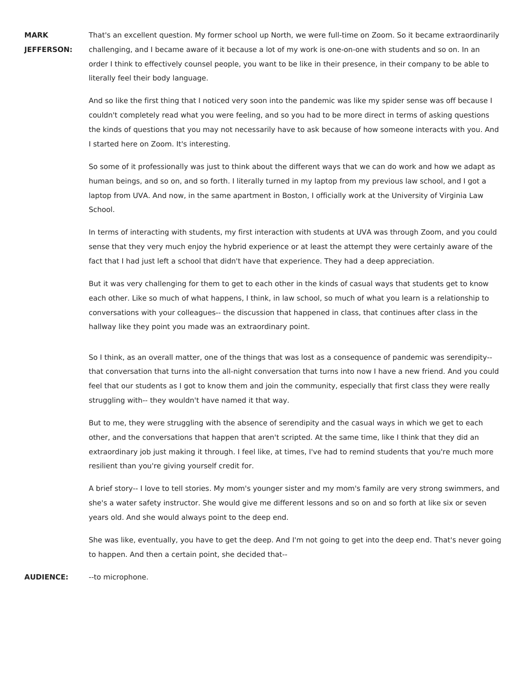**MARK JEFFERSON:** That's an excellent question. My former school up North, we were full-time on Zoom. So it became extraordinarily challenging, and I became aware of it because a lot of my work is one-on-one with students and so on. In an order I think to effectively counsel people, you want to be like in their presence, in their company to be able to literally feel their body language.

And so like the first thing that I noticed very soon into the pandemic was like my spider sense was off because I couldn't completely read what you were feeling, and so you had to be more direct in terms of asking questions the kinds of questions that you may not necessarily have to ask because of how someone interacts with you. And I started here on Zoom. It's interesting.

So some of it professionally was just to think about the different ways that we can do work and how we adapt as human beings, and so on, and so forth. I literally turned in my laptop from my previous law school, and I got a laptop from UVA. And now, in the same apartment in Boston, I officially work at the University of Virginia Law School.

In terms of interacting with students, my first interaction with students at UVA was through Zoom, and you could sense that they very much enjoy the hybrid experience or at least the attempt they were certainly aware of the fact that I had just left a school that didn't have that experience. They had a deep appreciation.

But it was very challenging for them to get to each other in the kinds of casual ways that students get to know each other. Like so much of what happens, I think, in law school, so much of what you learn is a relationship to conversations with your colleagues-- the discussion that happened in class, that continues after class in the hallway like they point you made was an extraordinary point.

So I think, as an overall matter, one of the things that was lost as a consequence of pandemic was serendipity- that conversation that turns into the all-night conversation that turns into now I have a new friend. And you could feel that our students as I got to know them and join the community, especially that first class they were really struggling with-- they wouldn't have named it that way.

But to me, they were struggling with the absence of serendipity and the casual ways in which we get to each other, and the conversations that happen that aren't scripted. At the same time, like I think that they did an extraordinary job just making it through. I feel like, at times, I've had to remind students that you're much more resilient than you're giving yourself credit for.

A brief story-- I love to tell stories. My mom's younger sister and my mom's family are very strong swimmers, and she's a water safety instructor. She would give me different lessons and so on and so forth at like six or seven years old. And she would always point to the deep end.

She was like, eventually, you have to get the deep. And I'm not going to get into the deep end. That's never going to happen. And then a certain point, she decided that--

**AUDIENCE:** --to microphone.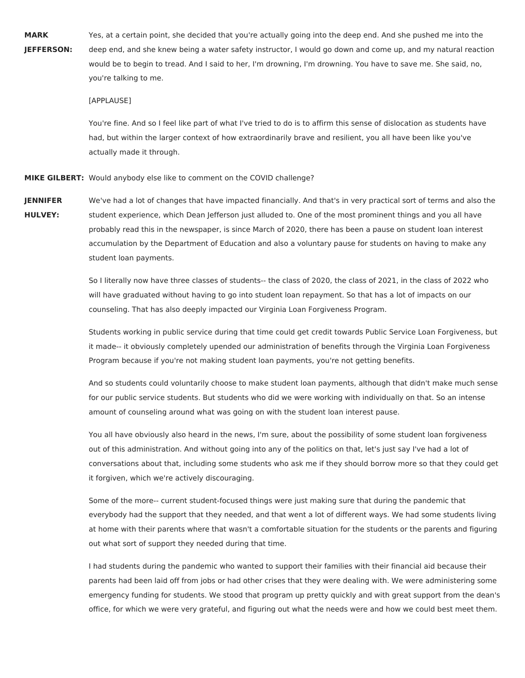**MARK JEFFERSON:** Yes, at a certain point, she decided that you're actually going into the deep end. And she pushed me into the deep end, and she knew being a water safety instructor, I would go down and come up, and my natural reaction would be to begin to tread. And I said to her, I'm drowning, I'm drowning. You have to save me. She said, no, you're talking to me.

[APPLAUSE]

You're fine. And so I feel like part of what I've tried to do is to affirm this sense of dislocation as students have had, but within the larger context of how extraordinarily brave and resilient, you all have been like you've actually made it through.

**MIKE GILBERT:** Would anybody else like to comment on the COVID challenge?

**JENNIFER HULVEY:** We've had a lot of changes that have impacted financially. And that's in very practical sort of terms and also the student experience, which Dean Jefferson just alluded to. One of the most prominent things and you all have probably read this in the newspaper, is since March of 2020, there has been a pause on student loan interest accumulation by the Department of Education and also a voluntary pause for students on having to make any student loan payments.

> So I literally now have three classes of students-- the class of 2020, the class of 2021, in the class of 2022 who will have graduated without having to go into student loan repayment. So that has a lot of impacts on our counseling. That has also deeply impacted our Virginia Loan Forgiveness Program.

Students working in public service during that time could get credit towards Public Service Loan Forgiveness, but it made-- it obviously completely upended our administration of benefits through the Virginia Loan Forgiveness Program because if you're not making student loan payments, you're not getting benefits.

And so students could voluntarily choose to make student loan payments, although that didn't make much sense for our public service students. But students who did we were working with individually on that. So an intense amount of counseling around what was going on with the student loan interest pause.

You all have obviously also heard in the news, I'm sure, about the possibility of some student loan forgiveness out of this administration. And without going into any of the politics on that, let's just say I've had a lot of conversations about that, including some students who ask me if they should borrow more so that they could get it forgiven, which we're actively discouraging.

Some of the more-- current student-focused things were just making sure that during the pandemic that everybody had the support that they needed, and that went a lot of different ways. We had some students living at home with their parents where that wasn't a comfortable situation for the students or the parents and figuring out what sort of support they needed during that time.

I had students during the pandemic who wanted to support their families with their financial aid because their parents had been laid off from jobs or had other crises that they were dealing with. We were administering some emergency funding for students. We stood that program up pretty quickly and with great support from the dean's office, for which we were very grateful, and figuring out what the needs were and how we could best meet them.